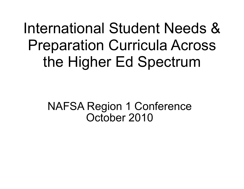International Student Needs & Preparation Curricula Across the Higher Ed Spectrum

> NAFSA Region 1 Conference October 2010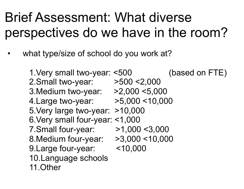## Brief Assessment: What diverse perspectives do we have in the room?

what type/size of school do you work at?

1.Very small two-year: <500 (based on FTE) 2.Small two-year: >500 <2,000 3.Medium two-year: >2,000 <5,000 4.Large two-year: >5,000 <10,000 5.Very large two-year: >10,000 6.Very small four-year: <1,000 7.Small four-year: >1,000 <3,000 8.Medium four-year: >3,000 <10,000 9.Large four-year: <10,000 10.Language schools 11.Other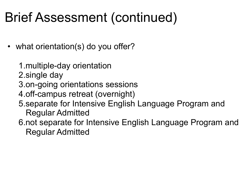# Brief Assessment (continued)

- what orientation(s) do you offer?
	- 1.multiple-day orientation
	- 2.single day
	- 3.on-going orientations sessions
	- 4.off-campus retreat (overnight)
	- 5.separate for Intensive English Language Program and Regular Admitted
	- 6.not separate for Intensive English Language Program and Regular Admitted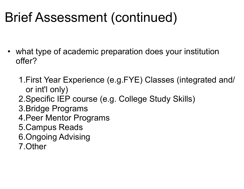# Brief Assessment (continued)

- what type of academic preparation does your institution offer?
	- 1.First Year Experience (e.g.FYE) Classes (integrated and/ or int'l only)
	- 2.Specific IEP course (e.g. College Study Skills)
	- 3.Bridge Programs
	- 4.Peer Mentor Programs
	- 5.Campus Reads
	- 6.Ongoing Advising
	- 7.Other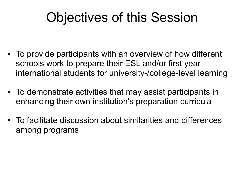# Objectives of this Session

- To provide participants with an overview of how different schools work to prepare their ESL and/or first year international students for university-/college-level learning
- To demonstrate activities that may assist participants in enhancing their own institution's preparation curricula
- To facilitate discussion about similarities and differences among programs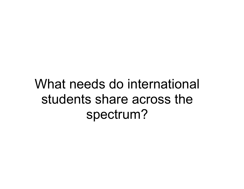## What needs do international students share across the spectrum?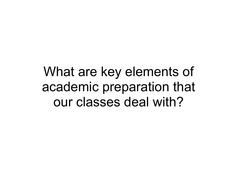What are key elements of academic preparation that our classes deal with?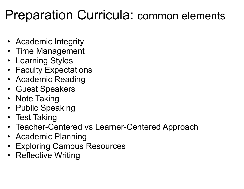## Preparation Curricula: common elements

- Academic Integrity
- Time Management
- Learning Styles
- Faculty Expectations
- Academic Reading
- Guest Speakers
- Note Taking
- Public Speaking
- Test Taking
- Teacher-Centered vs Learner-Centered Approach
- Academic Planning
- Exploring Campus Resources
- Reflective Writing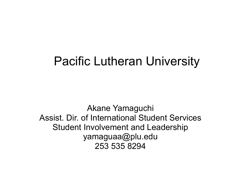### Pacific Lutheran University

Akane Yamaguchi Assist. Dir. of International Student Services Student Involvement and Leadership yamaguaa@plu.edu 253 535 8294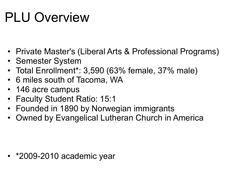# PLU Overview

- Private Master's (Liberal Arts & Professional Programs)
- Semester System
- Total Enrollment\*: 3,590 (63% female, 37% male)
- 6 miles south of Tacoma, WA
- 146 acre campus
- Faculty Student Ratio: 15:1
- Founded in 1890 by Norwegian immigrants
- Owned by Evangelical Lutheran Church in America

• \*2009-2010 academic year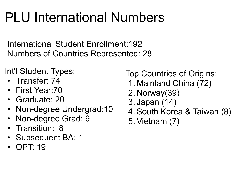# PLU International Numbers

International Student Enrollment:192 Numbers of Countries Represented: 28

Int'l Student Types:

- Transfer: 74
- First Year:70
- Graduate: 20
- Non-degree Undergrad: 10
- Non-degree Grad: 9
- Transition: 8
- Subsequent BA: 1
- OPT: 19

Top Countries of Origins:

- 1. Mainland China (72)
- 2. Norway(39)
- 3. Japan (14)
- 4.South Korea & Taiwan (8)
- 5.Vietnam (7)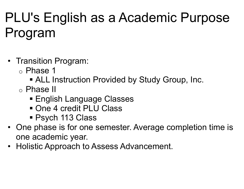# PLU's English as a Academic Purpose Program

- Transition Program:
	- o Phase 1
		- ALL Instruction Provided by Study Group, Inc.
	- o Phase II
		- **English Language Classes**
		- One 4 credit PLU Class
		- Psych 113 Class
- One phase is for one semester. Average completion time is one academic year.
- Holistic Approach to Assess Advancement.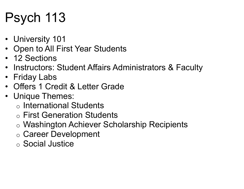# Psych 113

- University 101
- Open to All First Year Students
- 12 Sections
- Instructors: Student Affairs Administrators & Faculty
- Friday Labs
- Offers 1 Credit & Letter Grade
- Unique Themes:
	- o International Students
	- o First Generation Students
	- o Washington Achiever Scholarship Recipients
	- o Career Development
	- o Social Justice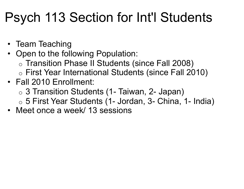## Psych 113 Section for Int'l Students

- Team Teaching
- Open to the following Population:
	- o Transition Phase II Students (since Fall 2008)
	- o First Year International Students (since Fall 2010)
- Fall 2010 Enrollment:
	- o 3 Transition Students (1- Taiwan, 2- Japan)
	- o 5 First Year Students (1- Jordan, 3- China, 1- India)
- Meet once a week/ 13 sessions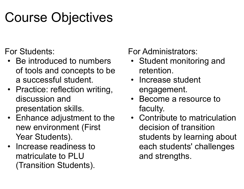## Course Objectives

For Students:

- Be introduced to numbers of tools and concepts to be a successful student.
- Practice: reflection writing, discussion and presentation skills.
- Enhance adjustment to the new environment (First Year Students).
- Increase readiness to matriculate to PLU (Transition Students).

For Administrators:

- Student monitoring and retention.
- Increase student engagement.
- Become a resource to faculty.
- Contribute to matriculation decision of transition students by learning about each students' challenges and strengths.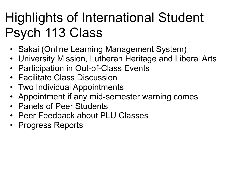# Highlights of International Student Psych 113 Class

- Sakai (Online Learning Management System)
- University Mission, Lutheran Heritage and Liberal Arts
- Participation in Out-of-Class Events
- Facilitate Class Discussion
- Two Individual Appointments
- Appointment if any mid-semester warning comes
- Panels of Peer Students
- Peer Feedback about PLU Classes
- Progress Reports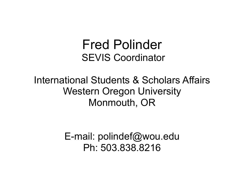### Fred Polinder SEVIS Coordinator

#### International Students & Scholars Affairs Western Oregon University Monmouth, OR

E-mail: polindef@wou.edu Ph: 503.838.8216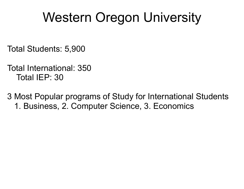## Western Oregon University

Total Students: 5,900

Total International: 350 Total IEP: 30

3 Most Popular programs of Study for International Students 1. Business, 2. Computer Science, 3. Economics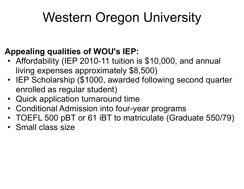# Western Oregon University

#### **Appealing qualities of WOU's IEP:**

- Affordability (IEP 2010-11 tuition is \$10,000, and annual living expenses approximately \$8,500)
- IEP Scholarship (\$1000, awarded following second quarter enrolled as regular student)
- Quick application turnaround time
- Conditional Admission into four-year programs
- TOEFL 500 pBT or 61 iBT to matriculate (Graduate 550/79)
- Small class size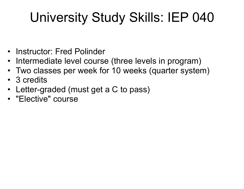# University Study Skills: IEP 040

- Instructor: Fred Polinder
- Intermediate level course (three levels in program)
- Two classes per week for 10 weeks (quarter system)
- 3 credits
- Letter-graded (must get a C to pass)
- "Elective" course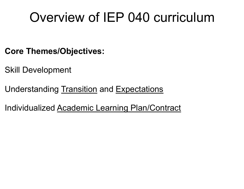## Overview of IEP 040 curriculum

- **Core Themes/Objectives:**
- Skill Development
- Understanding Transition and Expectations
- Individualized Academic Learning Plan/Contract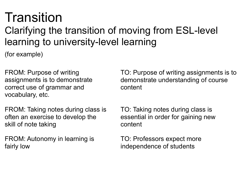# Transition

### Clarifying the transition of moving from ESL-level learning to university-level learning

(for example)

FROM: Purpose of writing assignments is to demonstrate correct use of grammar and vocabulary, etc.

FROM: Taking notes during class is often an exercise to develop the skill of note taking

FROM: Autonomy in learning is fairly low

TO: Purpose of writing assignments is to demonstrate understanding of course content

TO: Taking notes during class is essential in order for gaining new content

TO: Professors expect more independence of students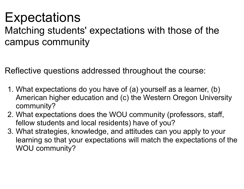### **Expectations**

Matching students' expectations with those of the campus community

Reflective questions addressed throughout the course:

- 1. What expectations do you have of (a) yourself as a learner, (b) American higher education and (c) the Western Oregon University community?
- 2. What expectations does the WOU community (professors, staff, fellow students and local residents) have of you?
- 3. What strategies, knowledge, and attitudes can you apply to your learning so that your expectations will match the expectations of the WOU community?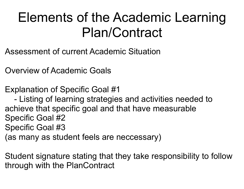## Elements of the Academic Learning Plan/Contract

- Assessment of current Academic Situation
- Overview of Academic Goals
- Explanation of Specific Goal #1
- Listing of learning strategies and activities needed to achieve that specific goal and that have measurable Specific Goal #2 Specific Goal #3 (as many as student feels are neccessary)

Student signature stating that they take responsibility to follow through with the PlanContract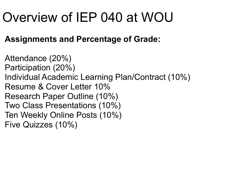## Overview of IEP 040 at WOU

#### **Assignments and Percentage of Grade:**

Attendance (20%) Participation (20%) Individual Academic Learning Plan/Contract (10%) Resume & Cover Letter 10% Research Paper Outline (10%) Two Class Presentations (10%) Ten Weekly Online Posts (10%) Five Quizzes (10%)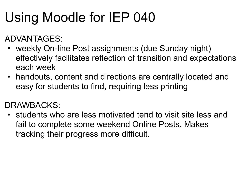# Using Moodle for IEP 040

ADVANTAGES:

- weekly On-line Post assignments (due Sunday night) effectively facilitates reflection of transition and expectations each week
- handouts, content and directions are centrally located and easy for students to find, requiring less printing

DRAWBACKS:

• students who are less motivated tend to visit site less and fail to complete some weekend Online Posts. Makes tracking their progress more difficult.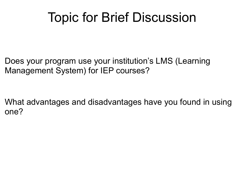## Topic for Brief Discussion

Does your program use your institution's LMS (Learning Management System) for IEP courses?

What advantages and disadvantages have you found in using one?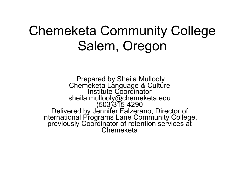### Chemeketa Community College Salem, Oregon

 Prepared by Sheila Mullooly Chemeketa Language & Culture<br>Institute Coordinator<br>sheila.mullooly@chemeketa.edu<br>(503)315-4290 sheila.mullooly@chemeketa.edu<br>503)315-4290<br>Delivered by Jennifer Falzerano, Director of<br>International Programs Lane Community College, previously Coordinator of retention services at Chemeketa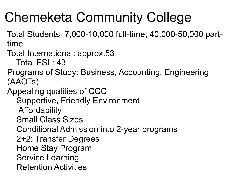# Chemeketa Community College

Total Students: 7,000-10,000 full-time, 40,000-50,000 parttime

Total International: approx.53

Total ESL: 43

Programs of Study: Business, Accounting, Engineering (AAOTs)

Appealing qualities of CCC

Supportive, Friendly Environment

**Affordability** 

Small Class Sizes

Conditional Admission into 2-year programs

2+2: Transfer Degrees

Home Stay Program

Service Learning

Retention Activities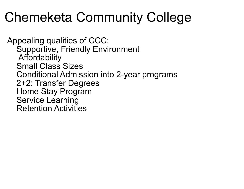## Chemeketa Community College

Appealing qualities of CCC: Supportive, Friendly Environment Affordability Small Class Sizes Conditional Admission into 2-year programs 2+2: Transfer Degrees Home Stay Program Service Learning Retention Activities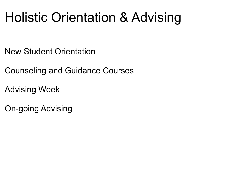## Holistic Orientation & Advising

New Student Orientation

Counseling and Guidance Courses

Advising Week

On-going Advising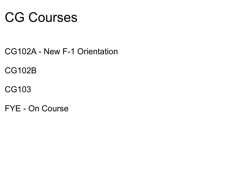## CG Courses

- CG102A New F-1 Orientation
- CG102B
- CG103
- FYE On Course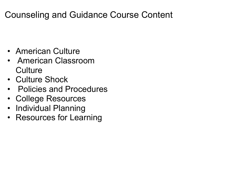#### Counseling and Guidance Course Content

- American Culture
- American Classroom **Culture**
- Culture Shock
- Policies and Procedures
- College Resources
- Individual Planning
- Resources for Learning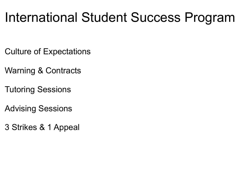## International Student Success Program

- Culture of Expectations
- Warning & Contracts
- Tutoring Sessions
- Advising Sessions
- 3 Strikes & 1 Appeal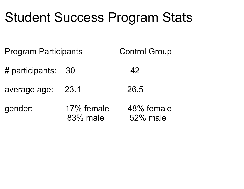## Student Success Program Stats

Program Participants Control Group

- # participants: 30 42
- average age: 23.1 26.5

gender: 17% female 48% female 83% male 52% male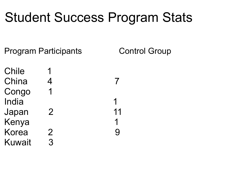## Student Success Program Stats

Program Participants Control Group

Chile 1 China 4 7 Congo 1 India 1 Japan 2 11 Kenya 1 Korea 2 9 Kuwait 3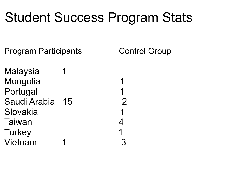## Student Success Program Stats

Program Participants Control Group

Malaysia 1 Mongolia 1 Portugal 1 Saudi Arabia 15 2 Slovakia 1 Taiwan 4 Turkey 1 Vietnam 1 3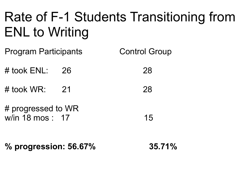# Rate of F-1 Students Transitioning from ENL to Writing

Program Participants Control Group

# took ENL: 26 28

# took WR: 21 28

# progressed to WR w/in 18 mos : 17 15

**% progression: 56.67% 35.71%**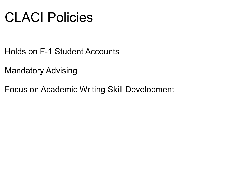## CLACI Policies

- Holds on F-1 Student Accounts
- Mandatory Advising
- Focus on Academic Writing Skill Development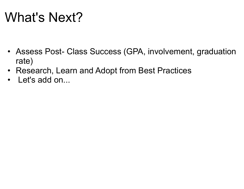## What's Next?

- Assess Post- Class Success (GPA, involvement, graduation rate)
- Research, Learn and Adopt from Best Practices
- Let's add on...